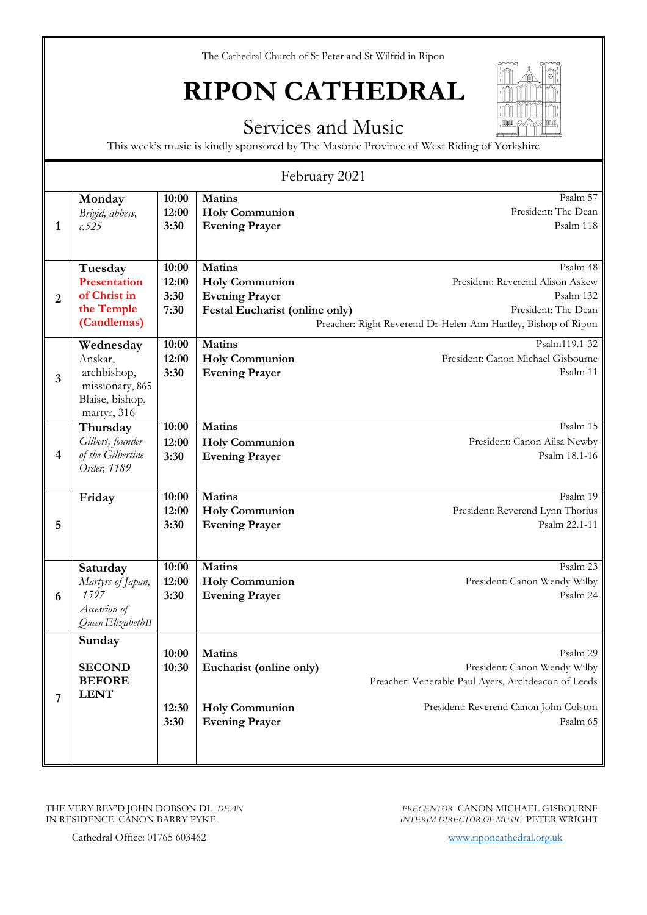## **RIPON CATHEDRAL**

#### Services and Music

This week's music is kindly sponsored by The Masonic Province of West Riding of Yorkshire

| February 2021           |                                                                                          |                                 |                                                                                                          |                                                                                                                                                       |
|-------------------------|------------------------------------------------------------------------------------------|---------------------------------|----------------------------------------------------------------------------------------------------------|-------------------------------------------------------------------------------------------------------------------------------------------------------|
| 1                       | Monday<br>Brigid, abbess,<br>0.525                                                       | 10:00<br>12:00<br>3:30          | <b>Matins</b><br><b>Holy Communion</b><br><b>Evening Prayer</b>                                          | Psalm 57<br>President: The Dean<br>Psalm 118                                                                                                          |
| $\overline{2}$          | Tuesday<br><b>Presentation</b><br>of Christ in<br>the Temple<br>(Candlemas)              | 10:00<br>12:00<br>3:30<br>7:30  | <b>Matins</b><br><b>Holy Communion</b><br><b>Evening Prayer</b><br><b>Festal Eucharist (online only)</b> | Psalm 48<br>President: Reverend Alison Askew<br>Psalm 132<br>President: The Dean<br>Preacher: Right Reverend Dr Helen-Ann Hartley, Bishop of Ripon    |
| 3                       | Wednesday<br>Anskar,<br>archbishop,<br>missionary, 865<br>Blaise, bishop,<br>martyr, 316 | 10:00<br>12:00<br>3:30          | <b>Matins</b><br><b>Holy Communion</b><br><b>Evening Prayer</b>                                          | Psalm119.1-32<br>President: Canon Michael Gisbourne<br>Psalm 11                                                                                       |
| $\overline{\mathbf{4}}$ | Thursday<br>Gilbert, founder<br>of the Gilbertine<br>Order, 1189                         | 10:00<br>12:00<br>3:30          | <b>Matins</b><br><b>Holy Communion</b><br><b>Evening Prayer</b>                                          | Psalm 15<br>President: Canon Ailsa Newby<br>Psalm 18.1-16                                                                                             |
| 5                       | Friday                                                                                   | 10:00<br>12:00<br>3:30          | <b>Matins</b><br><b>Holy Communion</b><br><b>Evening Prayer</b>                                          | Psalm 19<br>President: Reverend Lynn Thorius<br>Psalm 22.1-11                                                                                         |
| 6                       | Saturday<br>Martyrs of Japan,<br>1597<br>Accession of<br>Queen ElizabethII               | 10:00<br>12:00<br>3:30          | <b>Matins</b><br><b>Holy Communion</b><br><b>Evening Prayer</b>                                          | Psalm 23<br>President: Canon Wendy Wilby<br>Psalm 24                                                                                                  |
| 7                       | Sunday<br><b>SECOND</b><br><b>BEFORE</b><br><b>LENT</b>                                  | 10:00<br>10:30<br>12:30<br>3:30 | <b>Matins</b><br>Eucharist (online only)<br><b>Holy Communion</b><br><b>Evening Prayer</b>               | Psalm 29<br>President: Canon Wendy Wilby<br>Preacher: Venerable Paul Ayers, Archdeacon of Leeds<br>President: Reverend Canon John Colston<br>Psalm 65 |
|                         |                                                                                          |                                 |                                                                                                          |                                                                                                                                                       |

THE VERY REV'D JOHN DOBSON DL *DEAN* IN RESIDENCE: CANON BARRY PYKE

Cathedral Office: 01765 603462 [www.riponcathedral.org.uk](http://www.riponcathedral.org.uk/)

*PRECENTOR* CANON MICHAEL GISBOURNE *INTERIM DIRECTOR OF MUSIC* PETER WRIGHT

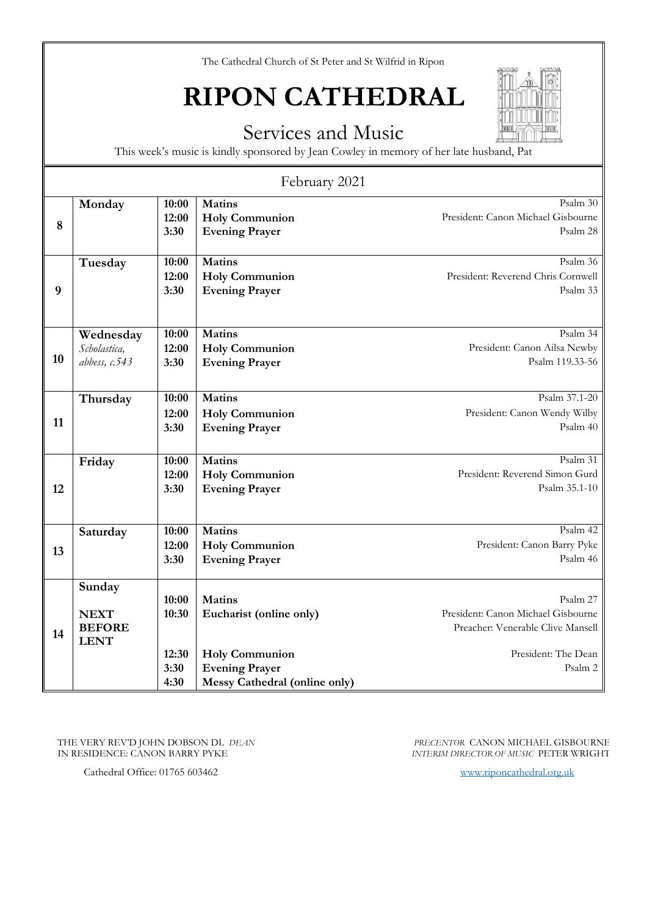## **RIPON CATHEDRAL**

#### Services and Music

This week's music is kindly sponsored by Jean Cowley in memory of her late husband, Pat

| February 2021 |                                                       |                                         |                                                                                                                                    |                                                                                                                       |
|---------------|-------------------------------------------------------|-----------------------------------------|------------------------------------------------------------------------------------------------------------------------------------|-----------------------------------------------------------------------------------------------------------------------|
| 8             | Monday                                                | 10:00<br>12:00<br>3:30                  | <b>Matins</b><br><b>Holy Communion</b><br><b>Evening Prayer</b>                                                                    | Psalm 30<br>President: Canon Michael Gisbourne<br>Psalm 28                                                            |
| 9             | Tuesday                                               | 10:00<br>12:00<br>3:30                  | <b>Matins</b><br><b>Holy Communion</b><br><b>Evening Prayer</b>                                                                    | Psalm 36<br>President: Reverend Chris Cornwell<br>Psalm 33                                                            |
| 10            | Wednesday<br>Scholastica,<br>abbess, $c.543$          | 10:00<br>12:00<br>3:30                  | <b>Matins</b><br><b>Holy Communion</b><br><b>Evening Prayer</b>                                                                    | Psalm 34<br>President: Canon Ailsa Newby<br>Psalm 119.33-56                                                           |
| 11            | Thursday                                              | 10:00<br>12:00<br>3:30                  | <b>Matins</b><br><b>Holy Communion</b><br><b>Evening Prayer</b>                                                                    | Psalm 37.1-20<br>President: Canon Wendy Wilby<br>Psalm 40                                                             |
| 12            | Friday                                                | 10:00<br>12:00<br>3:30                  | <b>Matins</b><br><b>Holy Communion</b><br><b>Evening Prayer</b>                                                                    | Psalm 31<br>President: Reverend Simon Gurd<br>Psalm 35.1-10                                                           |
| 13            | Saturday                                              | 10:00<br>12:00<br>3:30                  | <b>Matins</b><br><b>Holy Communion</b><br><b>Evening Prayer</b>                                                                    | Psalm 42<br>President: Canon Barry Pyke<br>Psalm 46                                                                   |
| 14            | Sunday<br><b>NEXT</b><br><b>BEFORE</b><br><b>LENT</b> | 10:00<br>10:30<br>12:30<br>3:30<br>4:30 | <b>Matins</b><br>Eucharist (online only)<br><b>Holy Communion</b><br><b>Evening Prayer</b><br><b>Messy Cathedral (online only)</b> | Psalm 27<br>President: Canon Michael Gisbourne<br>Preacher: Venerable Clive Mansell<br>President: The Dean<br>Psalm 2 |

THE VERY REV'D JOHN DOBSON DL *DEAN* IN RESIDENCE: CANON BARRY PYKE

Cathedral Office: 01765 603462 [www.riponcathedral.org.uk](http://www.riponcathedral.org.uk/)

*PRECENTOR* CANON MICHAEL GISBOURNE *INTERIM DIRECTOR OF MUSIC* PETER WRIGHT

m

m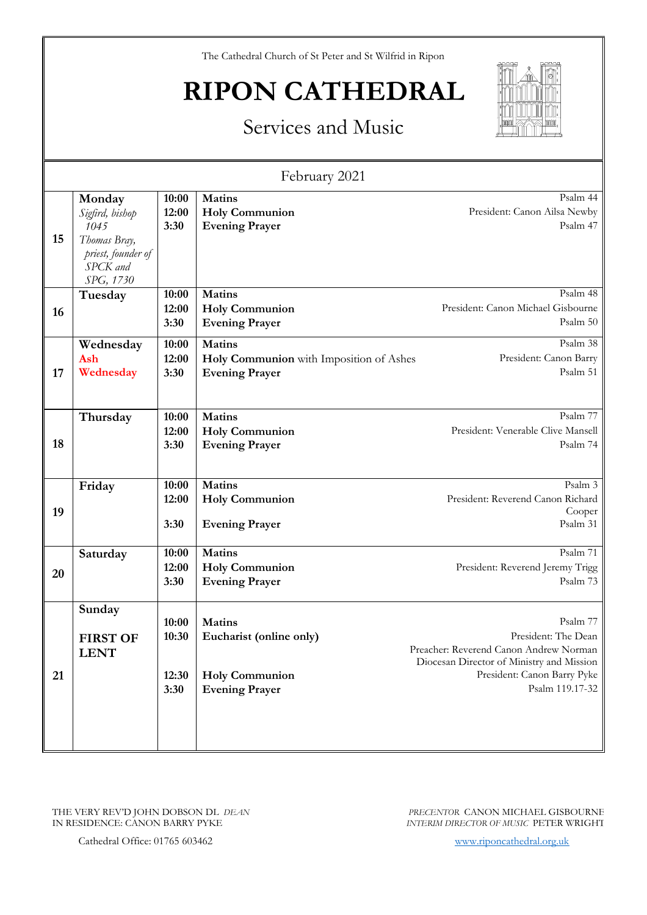# **RIPON CATHEDRAL**



### Services and Music

| February 2021 |                                                                                                  |                         |                                                                                   |                                                                                                                                                       |
|---------------|--------------------------------------------------------------------------------------------------|-------------------------|-----------------------------------------------------------------------------------|-------------------------------------------------------------------------------------------------------------------------------------------------------|
| 15            | Monday<br>Sigfird, bishop<br>1045<br>Thomas Bray,<br>priest, founder of<br>SPCK and<br>SPG, 1730 | 10:00<br>12:00<br>3:30  | <b>Matins</b><br><b>Holy Communion</b><br><b>Evening Prayer</b>                   | Psalm 44<br>President: Canon Ailsa Newby<br>Psalm 47                                                                                                  |
| 16            | Tuesday                                                                                          | 10:00<br>12:00<br>3:30  | <b>Matins</b><br><b>Holy Communion</b><br><b>Evening Prayer</b>                   | Psalm 48<br>President: Canon Michael Gisbourne<br>Psalm 50                                                                                            |
| 17            | Wednesday<br>Ash<br>Wednesday                                                                    | 10:00<br>12:00<br>3:30  | <b>Matins</b><br>Holy Communion with Imposition of Ashes<br><b>Evening Prayer</b> | Psalm 38<br>President: Canon Barry<br>Psalm 51                                                                                                        |
| 18            | Thursday                                                                                         | 10:00<br>12:00<br>3:30  | <b>Matins</b><br><b>Holy Communion</b><br><b>Evening Prayer</b>                   | Psalm 77<br>President: Venerable Clive Mansell<br>Psalm 74                                                                                            |
| 19            | Friday                                                                                           | 10:00<br>12:00<br>3:30  | <b>Matins</b><br><b>Holy Communion</b><br><b>Evening Prayer</b>                   | Psalm 3<br>President: Reverend Canon Richard<br>Cooper<br>Psalm 31                                                                                    |
| 20            | Saturday                                                                                         | 10:00<br>12:00<br>3:30  | <b>Matins</b><br><b>Holy Communion</b><br><b>Evening Prayer</b>                   | Psalm 71<br>President: Reverend Jeremy Trigg<br>Psalm 73                                                                                              |
| 21            | Sunday<br><b>FIRST OF</b><br><b>LENT</b>                                                         | 10:00<br>10:30<br>12:30 | <b>Matins</b><br>Eucharist (online only)<br><b>Holy Communion</b>                 | Psalm 77<br>President: The Dean<br>Preacher: Reverend Canon Andrew Norman<br>Diocesan Director of Ministry and Mission<br>President: Canon Barry Pyke |
|               |                                                                                                  | 3:30                    | <b>Evening Prayer</b>                                                             | Psalm 119.17-32                                                                                                                                       |